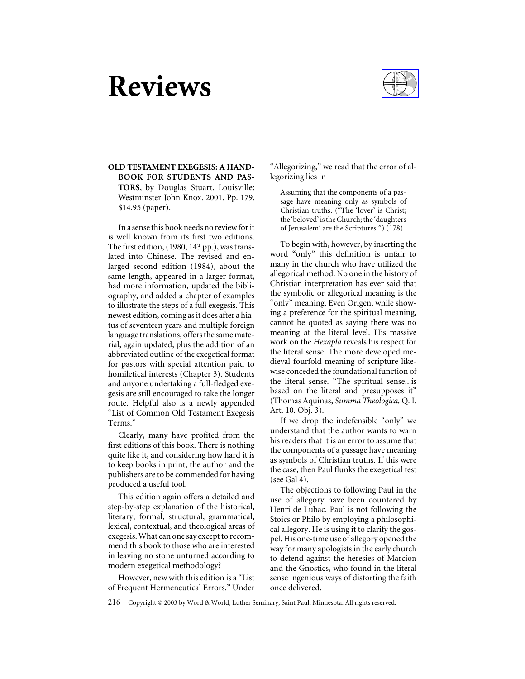# **Reviews**



## **OLD TESTAMENT EXEGESIS: A HAND-BOOK FOR STUDENTS AND PAS-TORS**, by Douglas Stuart. Louisville: Westminster John Knox. 2001. Pp. 179. \$14.95 (paper).

In a sense this book needs no review for it is well known from its first two editions. The first edition, (1980, 143 pp.), was translated into Chinese. The revised and enlarged second edition (1984), about the same length, appeared in a larger format, had more information, updated the bibliography, and added a chapter of examples to illustrate the steps of a full exegesis. This newest edition, coming as it does after a hiatus of seventeen years and multiple foreign language translations, offers the same material, again updated, plus the addition of an abbreviated outline of the exegetical format for pastors with special attention paid to homiletical interests (Chapter 3). Students and anyone undertaking a full-fledged exegesis are still encouraged to take the longer route. Helpful also is a newly appended "List of Common Old Testament Exegesis Terms."

Clearly, many have profited from the first editions of this book. There is nothing quite like it, and considering how hard it is to keep books in print, the author and the publishers are to be commended for having produced a useful tool.

This edition again offers a detailed and step-by-step explanation of the historical, literary, formal, structural, grammatical, lexical, contextual, and theological areas of exegesis. What can one say except to recommend this book to those who are interested in leaving no stone unturned according to modern exegetical methodology?

However, new with this edition is a "List of Frequent Hermeneutical Errors." Under

"Allegorizing," we read that the error of allegorizing lies in

Assuming that the components of a passage have meaning only as symbols of Christian truths. ("The 'lover' is Christ; the 'beloved' is the Church; the 'daughters of Jerusalem' are the Scriptures.") (178)

To begin with, however, by inserting the word "only" this definition is unfair to many in the church who have utilized the allegorical method. No one in the history of Christian interpretation has ever said that the symbolic or allegorical meaning is the "only" meaning. Even Origen, while showing a preference for the spiritual meaning, cannot be quoted as saying there was no meaning at the literal level. His massive work on the *Hexapla* reveals his respect for the literal sense. The more developed medieval fourfold meaning of scripture likewise conceded the foundational function of the literal sense. "The spiritual sense...is based on the literal and presupposes it" (Thomas Aquinas, *Summa Theologica,* Q. I. Art. 10. Obj. 3).

If we drop the indefensible "only" we understand that the author wants to warn his readers that it is an error to assume that the components of a passage have meaning as symbols of Christian truths. If this were the case, then Paul flunks the exegetical test (see Gal 4).

The objections to following Paul in the use of allegory have been countered by Henri de Lubac. Paul is not following the Stoics or Philo by employing a philosophical allegory. He is using it to clarify the gospel. His one-time use of allegory opened the way for many apologists in the early church to defend against the heresies of Marcion and the Gnostics, who found in the literal sense ingenious ways of distorting the faith once delivered.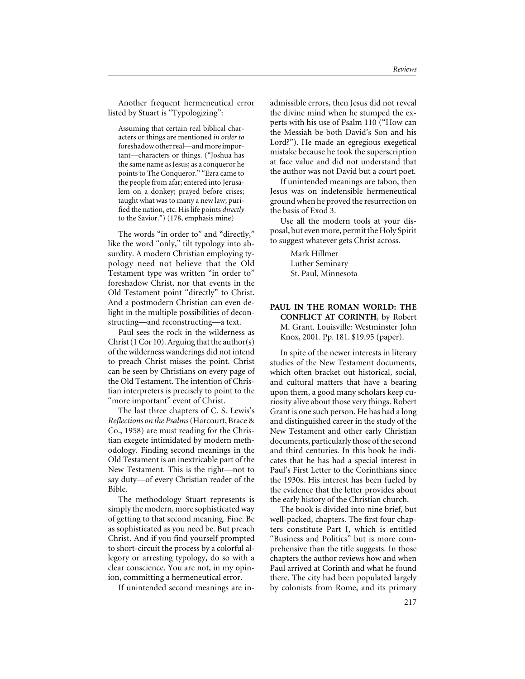Another frequent hermeneutical error listed by Stuart is "Typologizing":

Assuming that certain real biblical characters or things are mentioned *in order to* foreshadow other real—and more important—characters or things. ("Joshua has the same name as Jesus; as a conqueror he points to The Conqueror." "Ezra came to the people from afar; entered into Jerusalem on a donkey; prayed before crises; taught what was to many a new law; purified the nation, etc. His life points *directly* to the Savior.") (178, emphasis mine)

The words "in order to" and "directly," like the word "only," tilt typology into absurdity. A modern Christian employing typology need not believe that the Old Testament type was written "in order to" foreshadow Christ, nor that events in the Old Testament point "directly" to Christ. And a postmodern Christian can even delight in the multiple possibilities of deconstructing—and reconstructing—a text.

Paul sees the rock in the wilderness as Christ (1 Cor 10). Arguing that the author(s) of the wilderness wanderings did not intend to preach Christ misses the point. Christ can be seen by Christians on every page of the Old Testament. The intention of Christian interpreters is precisely to point to the "more important" event of Christ.

The last three chapters of C. S. Lewis's *Reflections on the Psalms*(Harcourt, Brace & Co., 1958) are must reading for the Christian exegete intimidated by modern methodology. Finding second meanings in the Old Testament is an inextricable part of the New Testament. This is the right—not to say duty—of every Christian reader of the Bible.

The methodology Stuart represents is simply the modern, more sophisticated way of getting to that second meaning. Fine. Be as sophisticated as you need be. But preach Christ. And if you find yourself prompted to short-circuit the process by a colorful allegory or arresting typology, do so with a clear conscience. You are not, in my opinion, committing a hermeneutical error.

If unintended second meanings are in-

admissible errors, then Jesus did not reveal the divine mind when he stumped the experts with his use of Psalm 110 ("How can the Messiah be both David's Son and his Lord?"). He made an egregious exegetical mistake because he took the superscription at face value and did not understand that the author was not David but a court poet.

If unintended meanings are taboo, then Jesus was on indefensible hermeneutical ground when he proved the resurrection on the basis of Exod 3.

Use all the modern tools at your disposal, but even more, permit the Holy Spirit to suggest whatever gets Christ across.

> Mark Hillmer Luther Seminary St. Paul, Minnesota

**PAUL IN THE ROMAN WORLD: THE CONFLICT AT CORINTH**, by Robert M. Grant. Louisville: Westminster John Knox, 2001. Pp. 181. \$19.95 (paper).

In spite of the newer interests in literary studies of the New Testament documents, which often bracket out historical, social, and cultural matters that have a bearing upon them, a good many scholars keep curiosity alive about those very things. Robert Grant is one such person. He has had a long and distinguished career in the study of the New Testament and other early Christian documents, particularly those of the second and third centuries. In this book he indicates that he has had a special interest in Paul's First Letter to the Corinthians since the 1930s. His interest has been fueled by the evidence that the letter provides about the early history of the Christian church.

The book is divided into nine brief, but well-packed, chapters. The first four chapters constitute Part I, which is entitled "Business and Politics" but is more comprehensive than the title suggests. In those chapters the author reviews how and when Paul arrived at Corinth and what he found there. The city had been populated largely by colonists from Rome, and its primary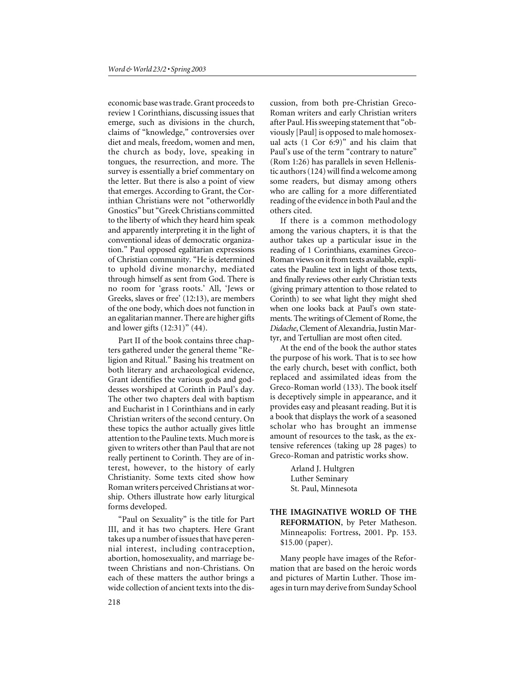economic base was trade. Grant proceeds to review 1 Corinthians, discussing issues that emerge, such as divisions in the church, claims of "knowledge," controversies over diet and meals, freedom, women and men, the church as body, love, speaking in tongues, the resurrection, and more. The survey is essentially a brief commentary on the letter. But there is also a point of view that emerges. According to Grant, the Corinthian Christians were not "otherworldly Gnostics" but "Greek Christians committed to the liberty of which they heard him speak and apparently interpreting it in the light of conventional ideas of democratic organization." Paul opposed egalitarian expressions of Christian community. "He is determined to uphold divine monarchy, mediated through himself as sent from God. There is no room for 'grass roots.' All, 'Jews or Greeks, slaves or free' (12:13), are members of the one body, which does not function in an egalitarian manner. There are higher gifts and lower gifts (12:31)" (44).

Part II of the book contains three chapters gathered under the general theme "Religion and Ritual." Basing his treatment on both literary and archaeological evidence, Grant identifies the various gods and goddesses worshiped at Corinth in Paul's day. The other two chapters deal with baptism and Eucharist in 1 Corinthians and in early Christian writers of the second century. On these topics the author actually gives little attention to the Pauline texts. Much more is given to writers other than Paul that are not really pertinent to Corinth. They are of interest, however, to the history of early Christianity. Some texts cited show how Roman writers perceived Christians at worship. Others illustrate how early liturgical forms developed.

"Paul on Sexuality" is the title for Part III, and it has two chapters. Here Grant takes up a number of issues that have perennial interest, including contraception, abortion, homosexuality, and marriage between Christians and non-Christians. On each of these matters the author brings a wide collection of ancient texts into the discussion, from both pre-Christian Greco-Roman writers and early Christian writers after Paul. His sweeping statement that "obviously [Paul] is opposed to male homosexual acts (1 Cor 6:9)" and his claim that Paul's use of the term "contrary to nature" (Rom 1:26) has parallels in seven Hellenistic authors (124) will find a welcome among some readers, but dismay among others who are calling for a more differentiated reading of the evidence in both Paul and the others cited.

If there is a common methodology among the various chapters, it is that the author takes up a particular issue in the reading of 1 Corinthians, examines Greco-Roman views on it from texts available, explicates the Pauline text in light of those texts, and finally reviews other early Christian texts (giving primary attention to those related to Corinth) to see what light they might shed when one looks back at Paul's own statements. The writings of Clement of Rome, the *Didache*, Clement of Alexandria, Justin Martyr, and Tertullian are most often cited.

At the end of the book the author states the purpose of his work. That is to see how the early church, beset with conflict, both replaced and assimilated ideas from the Greco-Roman world (133). The book itself is deceptively simple in appearance, and it provides easy and pleasant reading. But it is a book that displays the work of a seasoned scholar who has brought an immense amount of resources to the task, as the extensive references (taking up 28 pages) to Greco-Roman and patristic works show.

> Arland J. Hultgren Luther Seminary St. Paul, Minnesota

**THE IMAGINATIVE WORLD OF THE REFORMATION**, by Peter Matheson. Minneapolis: Fortress, 2001. Pp. 153. \$15.00 (paper).

Many people have images of the Reformation that are based on the heroic words and pictures of Martin Luther. Those images in turn may derive from Sunday School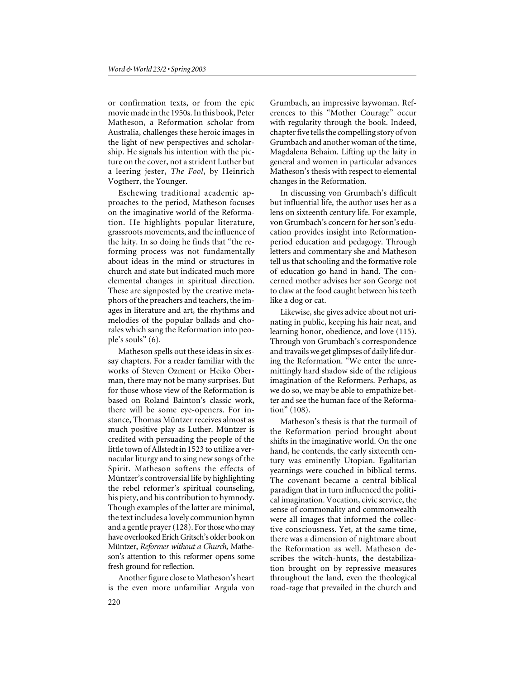or confirmation texts, or from the epic movie made in the 1950s. In this book, Peter Matheson, a Reformation scholar from Australia, challenges these heroic images in the light of new perspectives and scholarship. He signals his intention with the picture on the cover, not a strident Luther but a leering jester, *The Fool*, by Heinrich Vogtherr, the Younger.

Eschewing traditional academic approaches to the period, Matheson focuses on the imaginative world of the Reformation. He highlights popular literature, grassroots movements, and the influence of the laity. In so doing he finds that "the reforming process was not fundamentally about ideas in the mind or structures in church and state but indicated much more elemental changes in spiritual direction. These are signposted by the creative metaphors of the preachers and teachers, the images in literature and art, the rhythms and melodies of the popular ballads and chorales which sang the Reformation into people's souls" (6).

Matheson spells out these ideas in six essay chapters. For a reader familiar with the works of Steven Ozment or Heiko Oberman, there may not be many surprises. But for those whose view of the Reformation is based on Roland Bainton's classic work, there will be some eye-openers. For instance, Thomas Müntzer receives almost as much positive play as Luther. Müntzer is credited with persuading the people of the little town of Allstedt in 1523 to utilize a vernacular liturgy and to sing new songs of the Spirit. Matheson softens the effects of Müntzer's controversial life by highlighting the rebel reformer's spiritual counseling, his piety, and his contribution to hymnody. Though examples of the latter are minimal, the text includes a lovely communion hymn and a gentle prayer (128). Forthose who may have overlooked Erich Gritsch's older book on Müntzer, *Reformer without a Church,* Matheson's attention to this reformer opens some fresh ground for reflection.

Another figure close to Matheson's heart is the even more unfamiliar Argula von

Grumbach, an impressive laywoman. References to this "Mother Courage" occur with regularity through the book. Indeed, chapter five tells the compelling story of von Grumbach and another woman of the time, Magdalena Behaim. Lifting up the laity in general and women in particular advances Matheson's thesis with respect to elemental changes in the Reformation.

In discussing von Grumbach's difficult but influential life, the author uses her as a lens on sixteenth century life. For example, von Grumbach's concern for her son's education provides insight into Reformationperiod education and pedagogy. Through letters and commentary she and Matheson tell us that schooling and the formative role of education go hand in hand. The concerned mother advises her son George not to claw at the food caught between his teeth like a dog or cat.

Likewise, she gives advice about not urinating in public, keeping his hair neat, and learning honor, obedience, and love (115). Through von Grumbach's correspondence and travails we get glimpses of daily life during the Reformation. "We enter the unremittingly hard shadow side of the religious imagination of the Reformers. Perhaps, as we do so, we may be able to empathize better and see the human face of the Reformation" (108).

Matheson's thesis is that the turmoil of the Reformation period brought about shifts in the imaginative world. On the one hand, he contends, the early sixteenth century was eminently Utopian. Egalitarian yearnings were couched in biblical terms. The covenant became a central biblical paradigm that in turn influenced the political imagination. Vocation, civic service, the sense of commonality and commonwealth were all images that informed the collective consciousness. Yet, at the same time, there was a dimension of nightmare about the Reformation as well. Matheson describes the witch-hunts, the destabilization brought on by repressive measures throughout the land, even the theological road-rage that prevailed in the church and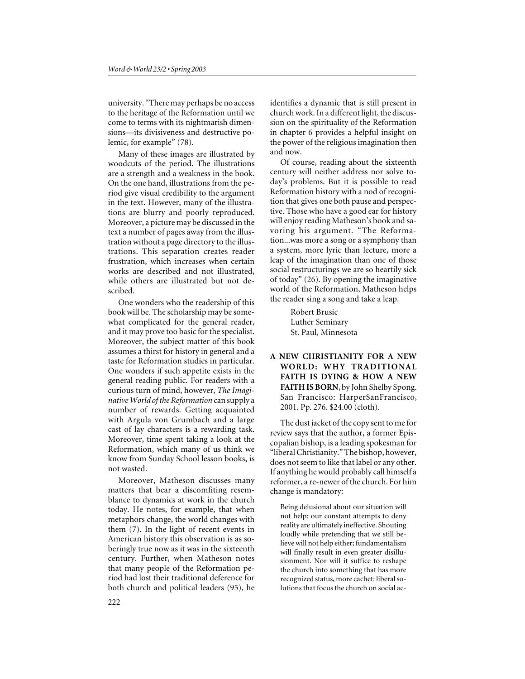university. "There may perhaps be no access to the heritage of the Reformation until we come to terms with its nightmarish dimensions—its divisiveness and destructive polemic, for example" (78).

Many of these images are illustrated by woodcuts of the period. The illustrations are a strength and a weakness in the book. On the one hand, illustrations from the period give visual credibility to the argument in the text. However, many of the illustrations are blurry and poorly reproduced. Moreover, a picture may be discussed in the text a number of pages away from the illustration without a page directory to the illustrations. This separation creates reader frustration, which increases when certain works are described and not illustrated, while others are illustrated but not described.

One wonders who the readership of this book will be. The scholarship may be somewhat complicated for the general reader, and it may prove too basic for the specialist. Moreover, the subject matter of this book assumes a thirst for history in general and a taste for Reformation studies in particular. One wonders if such appetite exists in the general reading public. For readers with a curious turn of mind, however, *The Imaginative World of the Reformation* can supply a number of rewards. Getting acquainted with Argula von Grumbach and a large cast of lay characters is a rewarding task. Moreover, time spent taking a look at the Reformation, which many of us think we know from Sunday School lesson books, is not wasted.

Moreover, Matheson discusses many matters that bear a discomfiting resemblance to dynamics at work in the church today. He notes, for example, that when metaphors change, the world changes with them (7). In the light of recent events in American history this observation is as soberingly true now as it was in the sixteenth century. Further, when Matheson notes that many people of the Reformation period had lost their traditional deference for both church and political leaders (95), he

identifies a dynamic that is still present in church work. In a different light, the discussion on the spirituality of the Reformation in chapter 6 provides a helpful insight on the power of the religious imagination then and now.

Of course, reading about the sixteenth century will neither address nor solve today's problems. But it is possible to read Reformation history with a nod of recognition that gives one both pause and perspective. Those who have a good ear for history will enjoy reading Matheson's book and savoring his argument. "The Reformation...was more a song or a symphony than a system, more lyric than lecture, more a leap of the imagination than one of those social restructurings we are so heartily sick of today" (26). By opening the imaginative world of the Reformation, Matheson helps the reader sing a song and take a leap.

> Robert Brusic Luther Seminary St. Paul, Minnesota

**A NEW CHRISTIANITY FOR A NEW WORLD: WHY TRADITIONAL FAITH IS DYING & HOW A NEW FAITH IS BORN**, by John Shelby Spong. San Francisco: HarperSanFrancisco, 2001. Pp. 276. \$24.00 (cloth).

The dust jacket of the copy sent to me for review says that the author, a former Episcopalian bishop, is a leading spokesman for "liberal Christianity." The bishop, however, does not seem to like that label or any other. If anything he would probably call himself a reformer, a re-newer of the church. For him change is mandatory:

Being delusional about our situation will not help: our constant attempts to deny reality are ultimately ineffective. Shouting loudly while pretending that we still believe will not help either; fundamentalism will finally result in even greater disillusionment. Nor will it suffice to reshape the church into something that has more recognized status, more cachet: liberal solutions that focus the church on social ac-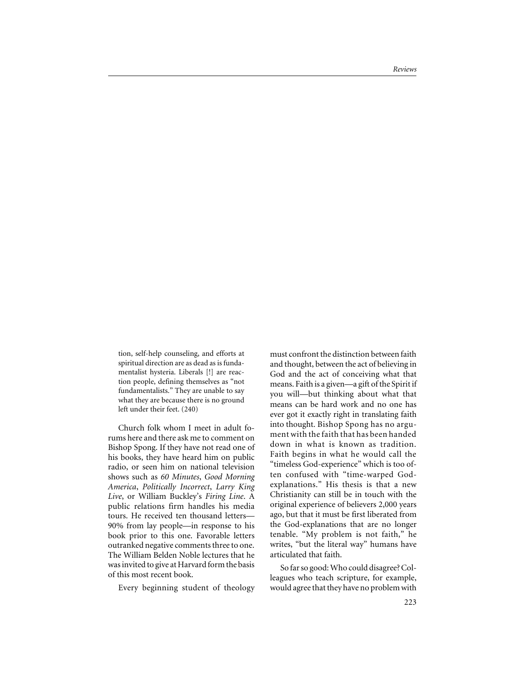tion, self-help counseling, and efforts at spiritual direction are as dead as is fundamentalist hysteria. Liberals [!] are reaction people, defining themselves as "not fundamentalists." They are unable to say what they are because there is no ground left under their feet. (240)

Church folk whom I meet in adult forums here and there ask me to comment on Bishop Spong. If they have not read one of his books, they have heard him on public radio, or seen him on national television shows such as *60 Minutes*, *Good Morning America*, *Politically Incorrect*, *Larry King Live*, or William Buckley's *Firing Line*. A public relations firm handles his media tours. He received ten thousand letters— 90% from lay people—in response to his book prior to this one. Favorable letters outranked negative comments three to one. The William Belden Noble lectures that he was invited to give at Harvard form the basis of this most recent book.

Every beginning student of theology

must confront the distinction between faith and thought, between the act of believing in God and the act of conceiving what that means. Faith is a given—a gift of the Spirit if you will—but thinking about what that means can be hard work and no one has ever got it exactly right in translating faith into thought. Bishop Spong has no argument with the faith that has been handed down in what is known as tradition. Faith begins in what he would call the "timeless God-experience" which is too often confused with "time-warped Godexplanations." His thesis is that a new Christianity can still be in touch with the original experience of believers 2,000 years ago, but that it must be first liberated from the God-explanations that are no longer tenable. "My problem is not faith," he writes, "but the literal way" humans have articulated that faith.

So far so good: Who could disagree? Colleagues who teach scripture, for example, would agree that they have no problem with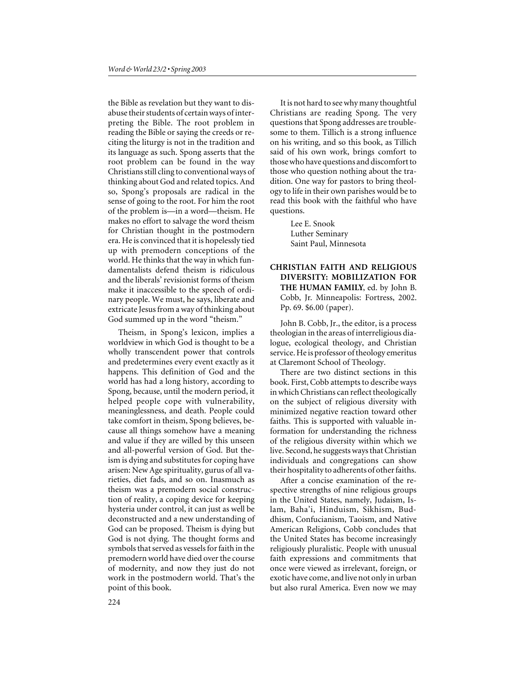the Bible as revelation but they want to disabuse their students of certain ways of interpreting the Bible. The root problem in reading the Bible or saying the creeds or reciting the liturgy is not in the tradition and its language as such. Spong asserts that the root problem can be found in the way Christians still cling to conventional ways of thinking about God and related topics. And so, Spong's proposals are radical in the sense of going to the root. For him the root of the problem is—in a word—theism. He makes no effort to salvage the word theism for Christian thought in the postmodern era. He is convinced that it is hopelessly tied up with premodern conceptions of the world. He thinks that the way in which fundamentalists defend theism is ridiculous and the liberals' revisionist forms of theism make it inaccessible to the speech of ordinary people. We must, he says, liberate and extricate Jesus from a way of thinking about God summed up in the word "theism."

Theism, in Spong's lexicon, implies a worldview in which God is thought to be a wholly transcendent power that controls and predetermines every event exactly as it happens. This definition of God and the world has had a long history, according to Spong, because, until the modern period, it helped people cope with vulnerability, meaninglessness, and death. People could take comfort in theism, Spong believes, because all things somehow have a meaning and value if they are willed by this unseen and all-powerful version of God. But theism is dying and substitutes for coping have arisen: New Age spirituality, gurus of all varieties, diet fads, and so on. Inasmuch as theism was a premodern social construction of reality, a coping device for keeping hysteria under control, it can just as well be deconstructed and a new understanding of God can be proposed. Theism is dying but God is not dying. The thought forms and symbols that served as vessels for faith in the premodern world have died over the course of modernity, and now they just do not work in the postmodern world. That's the point of this book.

It is not hard to see why many thoughtful Christians are reading Spong. The very questions that Spong addresses are troublesome to them. Tillich is a strong influence on his writing, and so this book, as Tillich said of his own work, brings comfort to those who have questions and discomfort to those who question nothing about the tradition. One way for pastors to bring theology to life in their own parishes would be to read this book with the faithful who have questions.

> Lee E. Snook Luther Seminary Saint Paul, Minnesota

#### **CHRISTIAN FAITH AND RELIGIOUS DIVERSITY: MOBILIZATION FOR THE HUMAN FAMILY**, ed. by John B. Cobb, Jr. Minneapolis: Fortress, 2002. Pp. 69. \$6.00 (paper).

John B. Cobb, Jr., the editor, is a process theologian in the areas of interreligious dialogue, ecological theology, and Christian service. He is professor of theology emeritus at Claremont School of Theology.

There are two distinct sections in this book. First, Cobb attempts to describe ways in which Christians can reflect theologically on the subject of religious diversity with minimized negative reaction toward other faiths. This is supported with valuable information for understanding the richness of the religious diversity within which we live. Second, he suggests ways that Christian individuals and congregations can show their hospitality to adherents of other faiths.

After a concise examination of the respective strengths of nine religious groups in the United States, namely, Judaism, Islam, Baha'i, Hinduism, Sikhism, Buddhism, Confucianism, Taoism, and Native American Religions, Cobb concludes that the United States has become increasingly religiously pluralistic. People with unusual faith expressions and commitments that once were viewed as irrelevant, foreign, or exotic have come, and live not only in urban but also rural America. Even now we may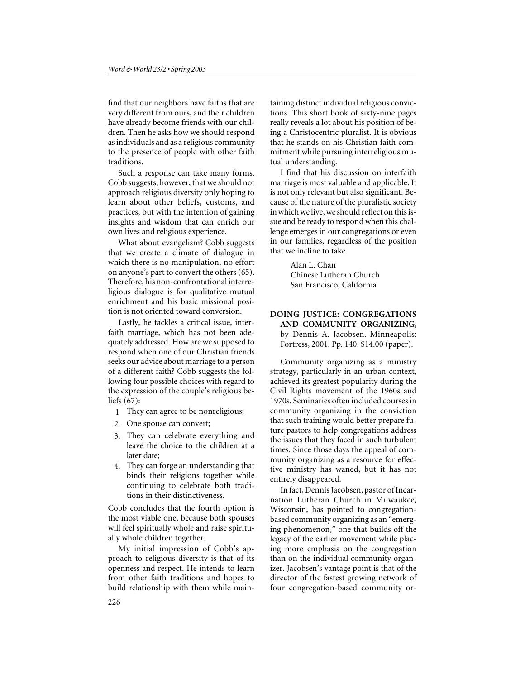find that our neighbors have faiths that are very different from ours, and their children have already become friends with our children. Then he asks how we should respond as individuals and as a religious community to the presence of people with other faith traditions.

Such a response can take many forms. Cobb suggests, however, that we should not approach religious diversity only hoping to learn about other beliefs, customs, and practices, but with the intention of gaining insights and wisdom that can enrich our own lives and religious experience.

What about evangelism? Cobb suggests that we create a climate of dialogue in which there is no manipulation, no effort on anyone's part to convert the others (65). Therefore, his non-confrontational interreligious dialogue is for qualitative mutual enrichment and his basic missional position is not oriented toward conversion.

Lastly, he tackles a critical issue, interfaith marriage, which has not been adequately addressed. How are we supposed to respond when one of our Christian friends seeks our advice about marriage to a person of a different faith? Cobb suggests the following four possible choices with regard to the expression of the couple's religious beliefs (67):

- 1 They can agree to be nonreligious;
- 2. One spouse can convert;
- 3. They can celebrate everything and leave the choice to the children at a later date;
- 4. They can forge an understanding that binds their religions together while continuing to celebrate both traditions in their distinctiveness.

Cobb concludes that the fourth option is the most viable one, because both spouses will feel spiritually whole and raise spiritually whole children together.

My initial impression of Cobb's approach to religious diversity is that of its openness and respect. He intends to learn from other faith traditions and hopes to build relationship with them while maintaining distinct individual religious convictions. This short book of sixty-nine pages really reveals a lot about his position of being a Christocentric pluralist. It is obvious that he stands on his Christian faith commitment while pursuing interreligious mutual understanding.

I find that his discussion on interfaith marriage is most valuable and applicable. It is not only relevant but also significant. Because of the nature of the pluralistic society in which we live, we should reflect on this issue and be ready to respond when this challenge emerges in our congregations or even in our families, regardless of the position that we incline to take.

> Alan L. Chan Chinese Lutheran Church San Francisco, California

#### **DOING JUSTICE: CONGREGATIONS AND COMMUNITY ORGANIZING**, by Dennis A. Jacobsen. Minneapolis: Fortress, 2001. Pp. 140. \$14.00 (paper).

Community organizing as a ministry strategy, particularly in an urban context, achieved its greatest popularity during the Civil Rights movement of the 1960s and 1970s. Seminaries often included courses in community organizing in the conviction that such training would better prepare future pastors to help congregations address the issues that they faced in such turbulent times. Since those days the appeal of community organizing as a resource for effective ministry has waned, but it has not entirely disappeared.

In fact, Dennis Jacobsen, pastor of Incarnation Lutheran Church in Milwaukee, Wisconsin, has pointed to congregationbased community organizing as an "emerging phenomenon," one that builds off the legacy of the earlier movement while placing more emphasis on the congregation than on the individual community organizer. Jacobsen's vantage point is that of the director of the fastest growing network of four congregation-based community or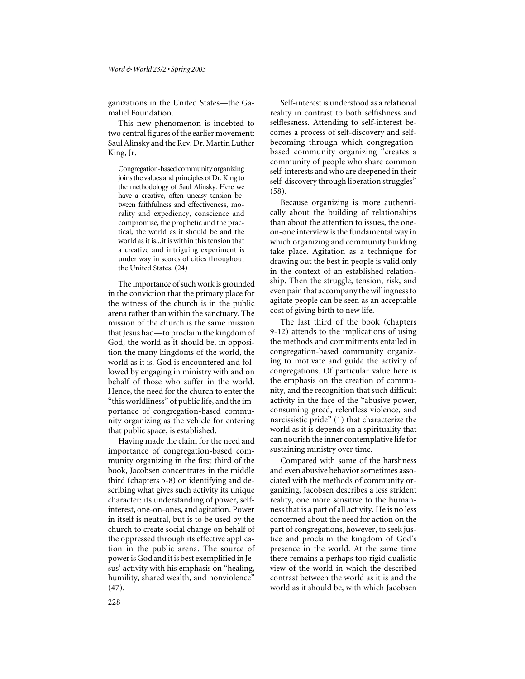ganizations in the United States—the Gamaliel Foundation.

This new phenomenon is indebted to two central figures of the earlier movement: Saul Alinsky and the Rev. Dr. Martin Luther King, Jr.

Congregation-based community organizing joins the values and principles of Dr. King to the methodology of Saul Alinsky. Here we have a creative, often uneasy tension between faithfulness and effectiveness, morality and expediency, conscience and compromise, the prophetic and the practical, the world as it should be and the world as it is...it is within this tension that a creative and intriguing experiment is under way in scores of cities throughout the United States. (24)

The importance of such work is grounded in the conviction that the primary place for the witness of the church is in the public arena rather than within the sanctuary. The mission of the church is the same mission that Jesus had—to proclaim the kingdom of God, the world as it should be, in opposition the many kingdoms of the world, the world as it is. God is encountered and followed by engaging in ministry with and on behalf of those who suffer in the world. Hence, the need for the church to enter the "this worldliness" of public life, and the importance of congregation-based community organizing as the vehicle for entering that public space, is established.

Having made the claim for the need and importance of congregation-based community organizing in the first third of the book, Jacobsen concentrates in the middle third (chapters 5-8) on identifying and describing what gives such activity its unique character: its understanding of power, selfinterest, one-on-ones, and agitation. Power in itself is neutral, but is to be used by the church to create social change on behalf of the oppressed through its effective application in the public arena. The source of power is God and it is best exemplified in Jesus' activity with his emphasis on "healing, humility, shared wealth, and nonviolence" (47).

Self-interest is understood as a relational reality in contrast to both selfishness and selflessness. Attending to self-interest becomes a process of self-discovery and selfbecoming through which congregationbased community organizing "creates a community of people who share common self-interests and who are deepened in their self-discovery through liberation struggles" (58).

Because organizing is more authentically about the building of relationships than about the attention to issues, the oneon-one interview is the fundamental way in which organizing and community building take place. Agitation as a technique for drawing out the best in people is valid only in the context of an established relationship. Then the struggle, tension, risk, and even pain that accompany the willingness to agitate people can be seen as an acceptable cost of giving birth to new life.

The last third of the book (chapters 9-12) attends to the implications of using the methods and commitments entailed in congregation-based community organizing to motivate and guide the activity of congregations. Of particular value here is the emphasis on the creation of community, and the recognition that such difficult activity in the face of the "abusive power, consuming greed, relentless violence, and narcissistic pride" (1) that characterize the world as it is depends on a spirituality that can nourish the inner contemplative life for sustaining ministry over time.

Compared with some of the harshness and even abusive behavior sometimes associated with the methods of community organizing, Jacobsen describes a less strident reality, one more sensitive to the humanness that is a part of all activity. He is no less concerned about the need for action on the part of congregations, however, to seek justice and proclaim the kingdom of God's presence in the world. At the same time there remains a perhaps too rigid dualistic view of the world in which the described contrast between the world as it is and the world as it should be, with which Jacobsen

228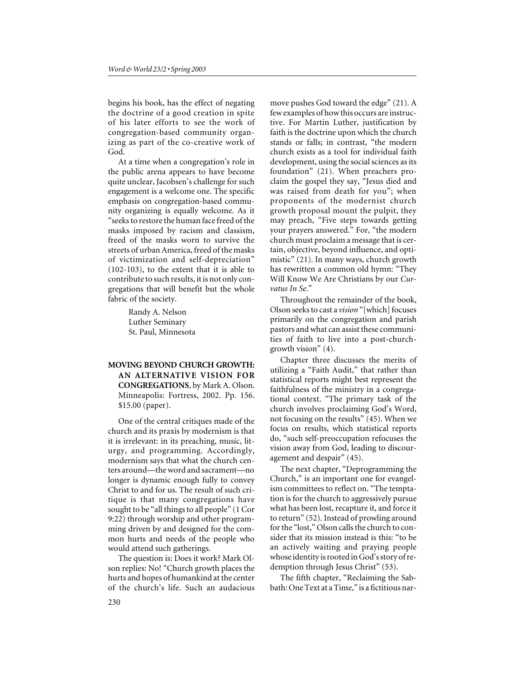begins his book, has the effect of negating the doctrine of a good creation in spite of his later efforts to see the work of congregation-based community organizing as part of the co-creative work of God.

At a time when a congregation's role in the public arena appears to have become quite unclear, Jacobsen's challenge for such engagement is a welcome one. The specific emphasis on congregation-based community organizing is equally welcome. As it "seeks to restore the human face freed of the masks imposed by racism and classism, freed of the masks worn to survive the streets of urban America, freed of the masks of victimization and self-depreciation" (102-103), to the extent that it is able to contribute to such results, it is not only congregations that will benefit but the whole fabric of the society.

> Randy A. Nelson Luther Seminary St. Paul, Minnesota

### **MOVING BEYOND CHURCH GROWTH: AN ALTERNATIVE VISION FOR CONGREGATIONS**, by Mark A. Olson. Minneapolis: Fortress, 2002. Pp. 156. \$15.00 (paper).

One of the central critiques made of the church and its praxis by modernism is that it is irrelevant: in its preaching, music, liturgy, and programming. Accordingly, modernism says that what the church centers around—the word and sacrament—no longer is dynamic enough fully to convey Christ to and for us. The result of such critique is that many congregations have sought to be "all things to all people" (1 Cor 9:22) through worship and other programming driven by and designed for the common hurts and needs of the people who would attend such gatherings.

The question is: Does it work? Mark Olson replies: No! "Church growth places the hurts and hopes of humankind at the center of the church's life. Such an audacious

move pushes God toward the edge" (21). A few examples of how this occurs are instructive. For Martin Luther, justification by faith is the doctrine upon which the church stands or falls; in contrast, "the modern church exists as a tool for individual faith development, using the social sciences as its foundation" (21). When preachers proclaim the gospel they say, "Jesus died and was raised from death for you"; when proponents of the modernist church growth proposal mount the pulpit, they may preach, "Five steps towards getting your prayers answered." For, "the modern church must proclaim a message that is certain, objective, beyond influence, and optimistic" (21). In many ways, church growth has rewritten a common old hymn: "They Will Know We Are Christians by our *Curvatus In Se*."

Throughout the remainder of the book, Olson seeks to cast a *vision* "[which] focuses primarily on the congregation and parish pastors and what can assist these communities of faith to live into a post-churchgrowth vision" (4).

Chapter three discusses the merits of utilizing a "Faith Audit," that rather than statistical reports might best represent the faithfulness of the ministry in a congregational context. "The primary task of the church involves proclaiming God's Word, not focusing on the results" (45). When we focus on results, which statistical reports do, "such self-preoccupation refocuses the vision away from God, leading to discouragement and despair" (45).

The next chapter, "Deprogramming the Church," is an important one for evangelism committees to reflect on. "The temptation is for the church to aggressively pursue what has been lost, recapture it, and force it to return" (52). Instead of prowling around for the "lost," Olson calls the church to consider that its mission instead is this: "to be an actively waiting and praying people whose identity is rooted in God's story of redemption through Jesus Christ" (53).

The fifth chapter, "Reclaiming the Sabbath: One Text at a Time," is a fictitious nar